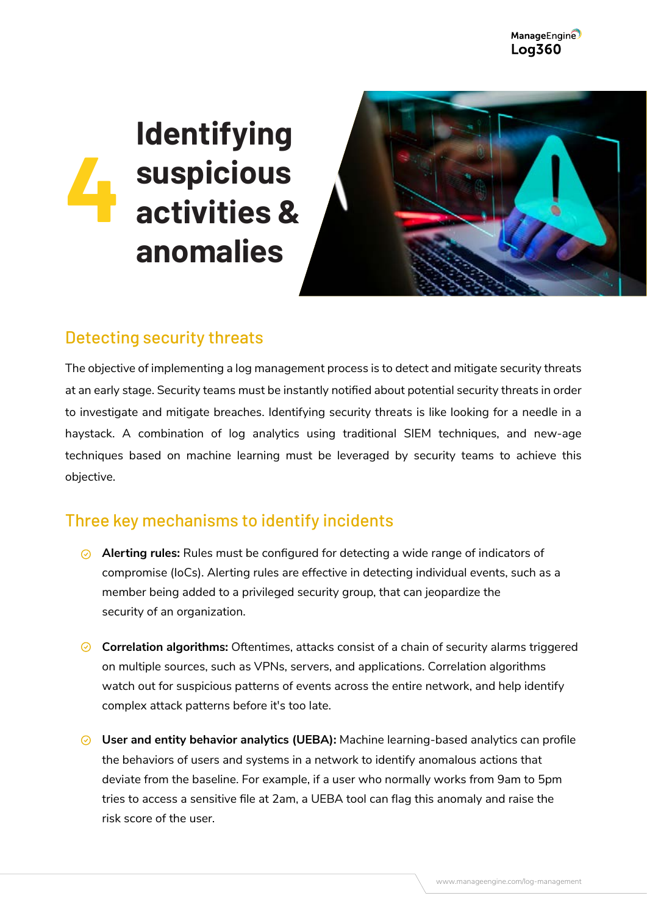ManageEngine **Log360** 

## **Identifying suspicious activities & anomalies 4**



## Detecting security threats

The objective of implementing a log management process is to detect and mitigate security threats at an early stage. Security teams must be instantly notified about potential security threats in order to investigate and mitigate breaches. Identifying security threats is like looking for a needle in a haystack. A combination of log analytics using traditional SIEM techniques, and new-age techniques based on machine learning must be leveraged by security teams to achieve this objective.

## Three key mechanisms to identify incidents

- **Alerting rules:** Rules must be configured for detecting a wide range of indicators of compromise (IoCs). Alerting rules are effective in detecting individual events, such as a member being added to a privileged security group, that can jeopardize the security of an organization.
- **Correlation algorithms:** Oftentimes, attacks consist of a chain of security alarms triggered on multiple sources, such as VPNs, servers, and applications. Correlation algorithms watch out for suspicious patterns of events across the entire network, and help identify complex attack patterns before it's too late.
- **User and entity behavior analytics (UEBA):** Machine learning-based analytics can profile the behaviors of users and systems in a network to identify anomalous actions that deviate from the baseline. For example, if a user who normally works from 9am to 5pm tries to access a sensitive file at 2am, a UEBA tool can flag this anomaly and raise the risk score of the user.